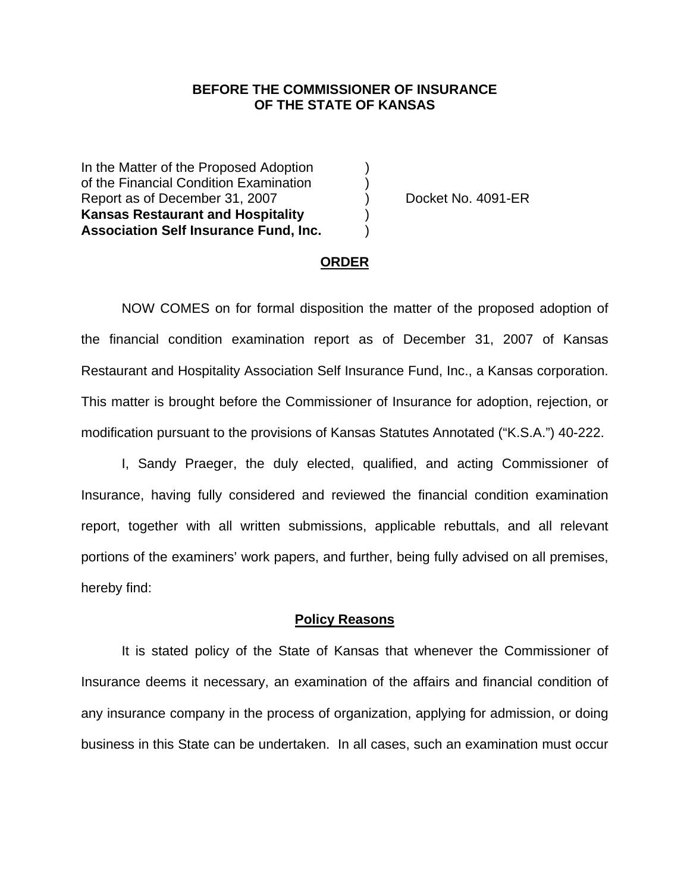## **BEFORE THE COMMISSIONER OF INSURANCE OF THE STATE OF KANSAS**

In the Matter of the Proposed Adoption of the Financial Condition Examination ) Report as of December 31, 2007 (and Separate No. 4091-ER **Kansas Restaurant and Hospitality** ) **Association Self Insurance Fund, Inc.** )

#### **ORDER**

 NOW COMES on for formal disposition the matter of the proposed adoption of the financial condition examination report as of December 31, 2007 of Kansas Restaurant and Hospitality Association Self Insurance Fund, Inc., a Kansas corporation. This matter is brought before the Commissioner of Insurance for adoption, rejection, or modification pursuant to the provisions of Kansas Statutes Annotated ("K.S.A.") 40-222.

 I, Sandy Praeger, the duly elected, qualified, and acting Commissioner of Insurance, having fully considered and reviewed the financial condition examination report, together with all written submissions, applicable rebuttals, and all relevant portions of the examiners' work papers, and further, being fully advised on all premises, hereby find:

#### **Policy Reasons**

 It is stated policy of the State of Kansas that whenever the Commissioner of Insurance deems it necessary, an examination of the affairs and financial condition of any insurance company in the process of organization, applying for admission, or doing business in this State can be undertaken. In all cases, such an examination must occur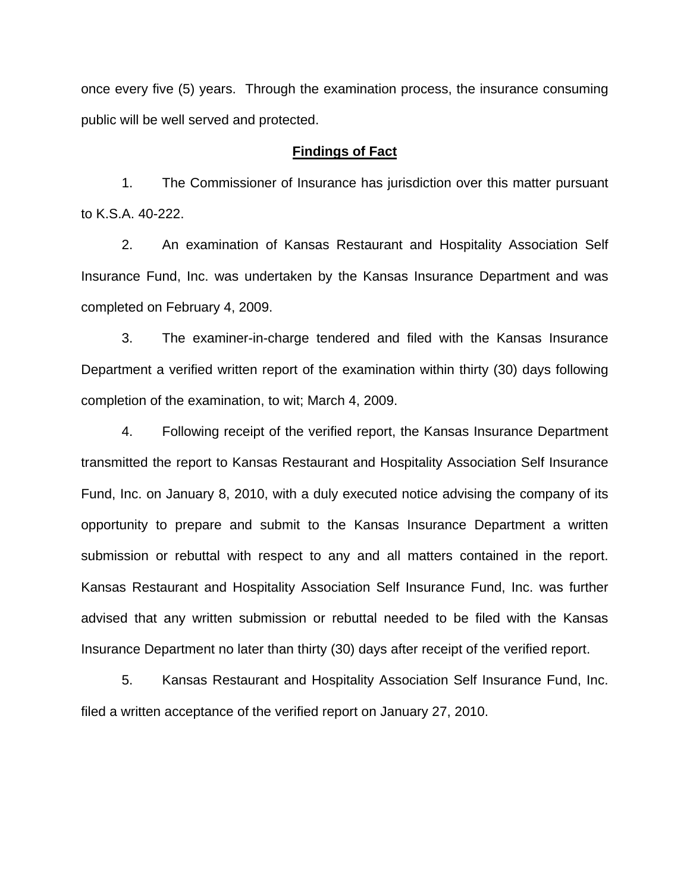once every five (5) years. Through the examination process, the insurance consuming public will be well served and protected.

### **Findings of Fact**

 1. The Commissioner of Insurance has jurisdiction over this matter pursuant to K.S.A. 40-222.

 2. An examination of Kansas Restaurant and Hospitality Association Self Insurance Fund, Inc. was undertaken by the Kansas Insurance Department and was completed on February 4, 2009.

 3. The examiner-in-charge tendered and filed with the Kansas Insurance Department a verified written report of the examination within thirty (30) days following completion of the examination, to wit; March 4, 2009.

 4. Following receipt of the verified report, the Kansas Insurance Department transmitted the report to Kansas Restaurant and Hospitality Association Self Insurance Fund, Inc. on January 8, 2010, with a duly executed notice advising the company of its opportunity to prepare and submit to the Kansas Insurance Department a written submission or rebuttal with respect to any and all matters contained in the report. Kansas Restaurant and Hospitality Association Self Insurance Fund, Inc. was further advised that any written submission or rebuttal needed to be filed with the Kansas Insurance Department no later than thirty (30) days after receipt of the verified report.

 5. Kansas Restaurant and Hospitality Association Self Insurance Fund, Inc. filed a written acceptance of the verified report on January 27, 2010.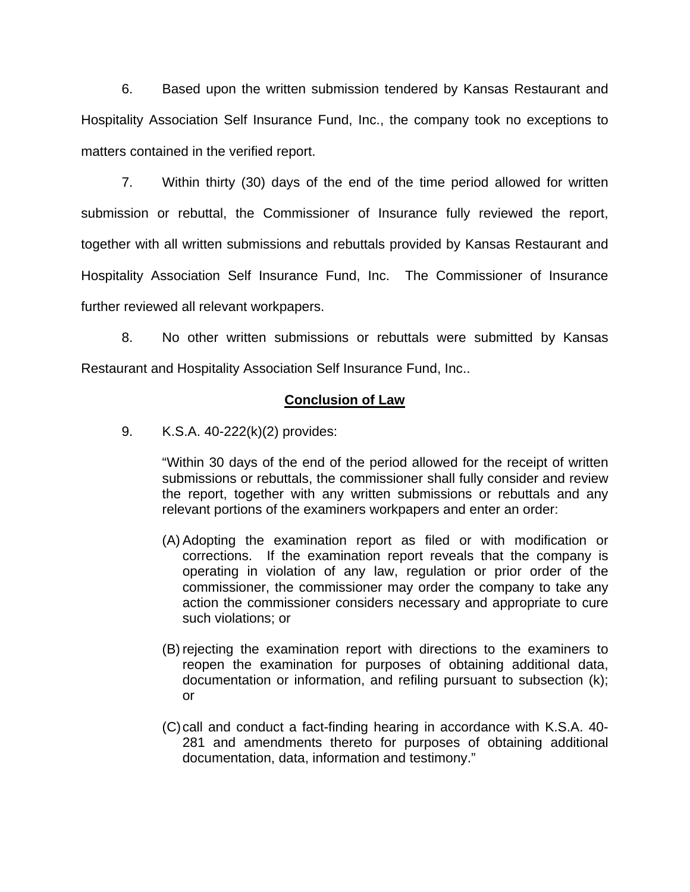6. Based upon the written submission tendered by Kansas Restaurant and Hospitality Association Self Insurance Fund, Inc., the company took no exceptions to matters contained in the verified report.

 7. Within thirty (30) days of the end of the time period allowed for written submission or rebuttal, the Commissioner of Insurance fully reviewed the report, together with all written submissions and rebuttals provided by Kansas Restaurant and Hospitality Association Self Insurance Fund, Inc. The Commissioner of Insurance further reviewed all relevant workpapers.

 8. No other written submissions or rebuttals were submitted by Kansas Restaurant and Hospitality Association Self Insurance Fund, Inc..

## **Conclusion of Law**

9. K.S.A. 40-222(k)(2) provides:

"Within 30 days of the end of the period allowed for the receipt of written submissions or rebuttals, the commissioner shall fully consider and review the report, together with any written submissions or rebuttals and any relevant portions of the examiners workpapers and enter an order:

- (A) Adopting the examination report as filed or with modification or corrections. If the examination report reveals that the company is operating in violation of any law, regulation or prior order of the commissioner, the commissioner may order the company to take any action the commissioner considers necessary and appropriate to cure such violations; or
- (B) rejecting the examination report with directions to the examiners to reopen the examination for purposes of obtaining additional data, documentation or information, and refiling pursuant to subsection (k); or
- (C) call and conduct a fact-finding hearing in accordance with K.S.A. 40- 281 and amendments thereto for purposes of obtaining additional documentation, data, information and testimony."